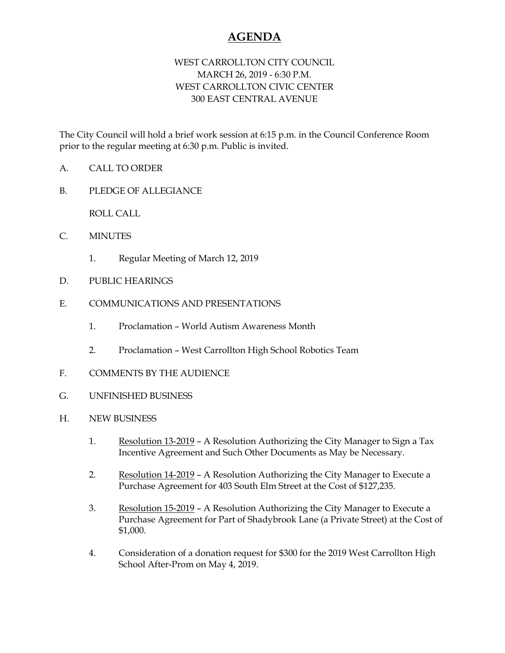## **AGENDA**

## WEST CARROLLTON CITY COUNCIL MARCH 26, 2019 - 6:30 P.M. WEST CARROLLTON CIVIC CENTER 300 EAST CENTRAL AVENUE

The City Council will hold a brief work session at 6:15 p.m. in the Council Conference Room prior to the regular meeting at 6:30 p.m. Public is invited.

- A. CALL TO ORDER
- B. PLEDGE OF ALLEGIANCE

ROLL CALL

- C. MINUTES
	- 1. Regular Meeting of March 12, 2019
- D. PUBLIC HEARINGS
- E. COMMUNICATIONS AND PRESENTATIONS
	- 1. Proclamation World Autism Awareness Month
	- 2. Proclamation West Carrollton High School Robotics Team
- F. COMMENTS BY THE AUDIENCE
- G. UNFINISHED BUSINESS
- H. NEW BUSINESS
	- 1. Resolution 13-2019 A Resolution Authorizing the City Manager to Sign a Tax Incentive Agreement and Such Other Documents as May be Necessary.
	- 2. Resolution 14-2019 A Resolution Authorizing the City Manager to Execute a Purchase Agreement for 403 South Elm Street at the Cost of \$127,235.
	- 3. Resolution 15-2019 A Resolution Authorizing the City Manager to Execute a Purchase Agreement for Part of Shadybrook Lane (a Private Street) at the Cost of \$1,000.
	- 4. Consideration of a donation request for \$300 for the 2019 West Carrollton High School After-Prom on May 4, 2019.